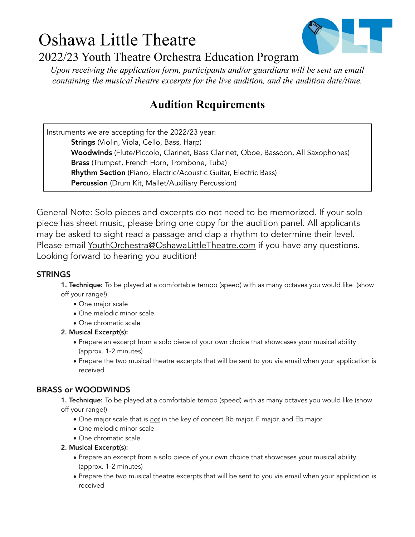# Oshawa Little Theatre 2022/23 Youth Theatre Orchestra Education Program



*Upon receiving the application form, participants and/or guardians will be sent an email containing the musical theatre excerpts for the live audition, and the audition date/time.* 

# **Audition Requirements**

Instruments we are accepting for the 2022/23 year: Strings (Violin, Viola, Cello, Bass, Harp) Woodwinds (Flute/Piccolo, Clarinet, Bass Clarinet, Oboe, Bassoon, All Saxophones) Brass (Trumpet, French Horn, Trombone, Tuba) Rhythm Section (Piano, Electric/Acoustic Guitar, Electric Bass) Percussion (Drum Kit, Mallet/Auxiliary Percussion)

General Note: Solo pieces and excerpts do not need to be memorized. If your solo piece has sheet music, please bring one copy for the audition panel. All applicants may be asked to sight read a passage and clap a rhythm to determine their level. Please email <u>YouthOrchestra@OshawaLittleTheatre.com</u> if you have any questions. Looking forward to hearing you audition!

# STRINGS

**1. Technique:** To be played at a comfortable tempo (speed) with as many octaves you would like (show off your range!)

- One major scale
- One melodic minor scale
- One chromatic scale
- 2. Musical Excerpt(s):
	- Prepare an excerpt from a solo piece of your own choice that showcases your musical ability (approx. 1-2 minutes)
	- Prepare the two musical theatre excerpts that will be sent to you via email when your application is received

# BRASS or WOODWINDS

1. Technique: To be played at a comfortable tempo (speed) with as many octaves you would like (show off your range!)

- One major scale that is *not* in the key of concert Bb major, F major, and Eb major
- One melodic minor scale
- One chromatic scale
- 2. Musical Excerpt(s):
	- Prepare an excerpt from a solo piece of your own choice that showcases your musical ability (approx. 1-2 minutes)
	- Prepare the two musical theatre excerpts that will be sent to you via email when your application is received